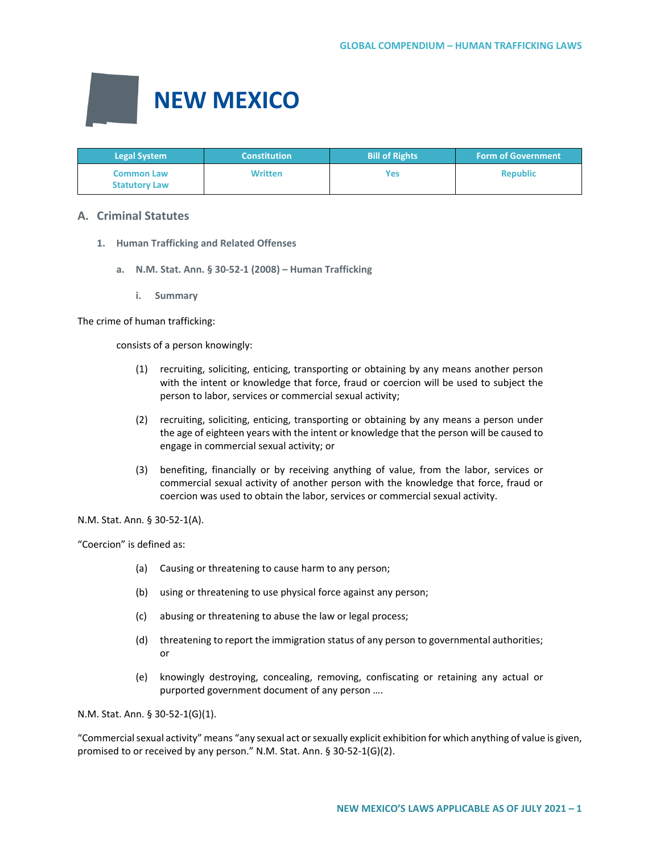

| <b>Legal System</b>                       | <b>Constitution</b> | <b>Bill of Rights</b> | <b>Form of Government</b> |
|-------------------------------------------|---------------------|-----------------------|---------------------------|
| <b>Common Law</b><br><b>Statutory Law</b> | <b>Written</b>      | Yes                   | <b>Republic</b>           |

# **A. Criminal Statutes**

- **1. Human Trafficking and Related Offenses**
	- **a. N.M. Stat. Ann. § 30-52-1 (2008) Human Trafficking**
		- **i. Summary**

The crime of human trafficking:

consists of a person knowingly:

- (1) recruiting, soliciting, enticing, transporting or obtaining by any means another person with the intent or knowledge that force, fraud or coercion will be used to subject the person to labor, services or commercial sexual activity;
- (2) recruiting, soliciting, enticing, transporting or obtaining by any means a person under the age of eighteen years with the intent or knowledge that the person will be caused to engage in commercial sexual activity; or
- (3) benefiting, financially or by receiving anything of value, from the labor, services or commercial sexual activity of another person with the knowledge that force, fraud or coercion was used to obtain the labor, services or commercial sexual activity.

N.M. Stat. Ann. § 30-52-1(A).

"Coercion" is defined as:

- (a) Causing or threatening to cause harm to any person;
- (b) using or threatening to use physical force against any person;
- (c) abusing or threatening to abuse the law or legal process;
- (d) threatening to report the immigration status of any person to governmental authorities; or
- (e) knowingly destroying, concealing, removing, confiscating or retaining any actual or purported government document of any person ….

N.M. Stat. Ann. § 30-52-1(G)(1).

"Commercial sexual activity" means "any sexual act or sexually explicit exhibition for which anything of value is given, promised to or received by any person." N.M. Stat. Ann. § 30-52-1(G)(2).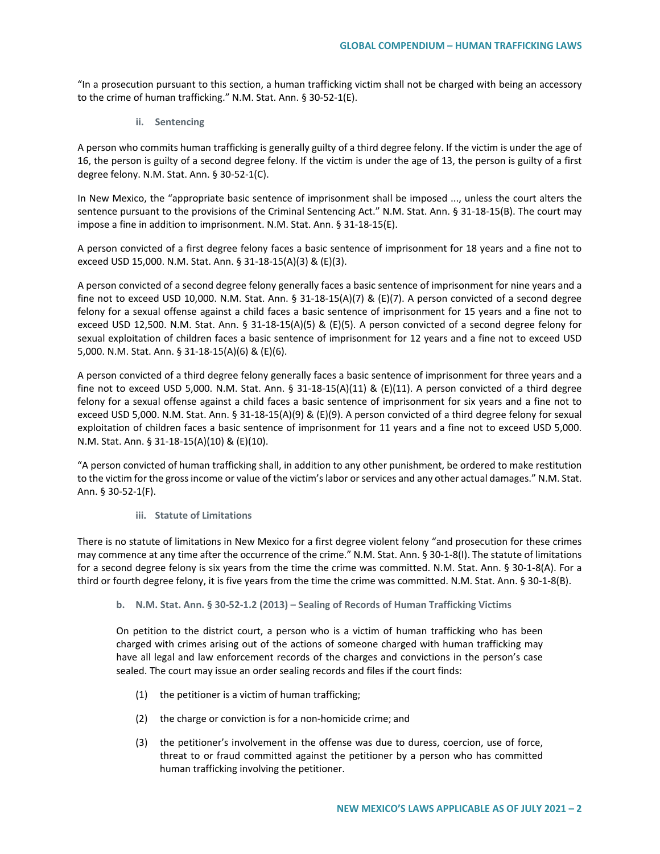"In a prosecution pursuant to this section, a human trafficking victim shall not be charged with being an accessory to the crime of human trafficking." N.M. Stat. Ann. § 30-52-1(E).

**ii. Sentencing**

A person who commits human trafficking is generally guilty of a third degree felony. If the victim is under the age of 16, the person is guilty of a second degree felony. If the victim is under the age of 13, the person is guilty of a first degree felony. N.M. Stat. Ann. § 30-52-1(C).

In New Mexico, the "appropriate basic sentence of imprisonment shall be imposed ..., unless the court alters the sentence pursuant to the provisions of the Criminal Sentencing Act." N.M. Stat. Ann. § 31-18-15(B). The court may impose a fine in addition to imprisonment. N.M. Stat. Ann. § 31-18-15(E).

A person convicted of a first degree felony faces a basic sentence of imprisonment for 18 years and a fine not to exceed USD 15,000. N.M. Stat. Ann. § 31-18-15(A)(3) & (E)(3).

A person convicted of a second degree felony generally faces a basic sentence of imprisonment for nine years and a fine not to exceed USD 10,000. N.M. Stat. Ann. § 31-18-15(A)(7) & (E)(7). A person convicted of a second degree felony for a sexual offense against a child faces a basic sentence of imprisonment for 15 years and a fine not to exceed USD 12,500. N.M. Stat. Ann. § 31-18-15(A)(5) & (E)(5). A person convicted of a second degree felony for sexual exploitation of children faces a basic sentence of imprisonment for 12 years and a fine not to exceed USD 5,000. N.M. Stat. Ann. § 31-18-15(A)(6) & (E)(6).

A person convicted of a third degree felony generally faces a basic sentence of imprisonment for three years and a fine not to exceed USD 5,000. N.M. Stat. Ann. § 31-18-15(A)(11) & (E)(11). A person convicted of a third degree felony for a sexual offense against a child faces a basic sentence of imprisonment for six years and a fine not to exceed USD 5,000. N.M. Stat. Ann. § 31-18-15(A)(9) & (E)(9). A person convicted of a third degree felony for sexual exploitation of children faces a basic sentence of imprisonment for 11 years and a fine not to exceed USD 5,000. N.M. Stat. Ann. § 31-18-15(A)(10) & (E)(10).

"A person convicted of human trafficking shall, in addition to any other punishment, be ordered to make restitution to the victim for the gross income or value of the victim's labor or services and any other actual damages." N.M. Stat. Ann. § 30-52-1(F).

#### **iii. Statute of Limitations**

There is no statute of limitations in New Mexico for a first degree violent felony "and prosecution for these crimes may commence at any time after the occurrence of the crime." N.M. Stat. Ann. § 30-1-8(I). The statute of limitations for a second degree felony is six years from the time the crime was committed. N.M. Stat. Ann. § 30-1-8(A). For a third or fourth degree felony, it is five years from the time the crime was committed. N.M. Stat. Ann. § 30-1-8(B).

## **b. N.M. Stat. Ann. § 30-52-1.2 (2013) – Sealing of Records of Human Trafficking Victims**

On petition to the district court, a person who is a victim of human trafficking who has been charged with crimes arising out of the actions of someone charged with human trafficking may have all legal and law enforcement records of the charges and convictions in the person's case sealed. The court may issue an order sealing records and files if the court finds:

- (1) the petitioner is a victim of human trafficking;
- (2) the charge or conviction is for a non-homicide crime; and
- (3) the petitioner's involvement in the offense was due to duress, coercion, use of force, threat to or fraud committed against the petitioner by a person who has committed human trafficking involving the petitioner.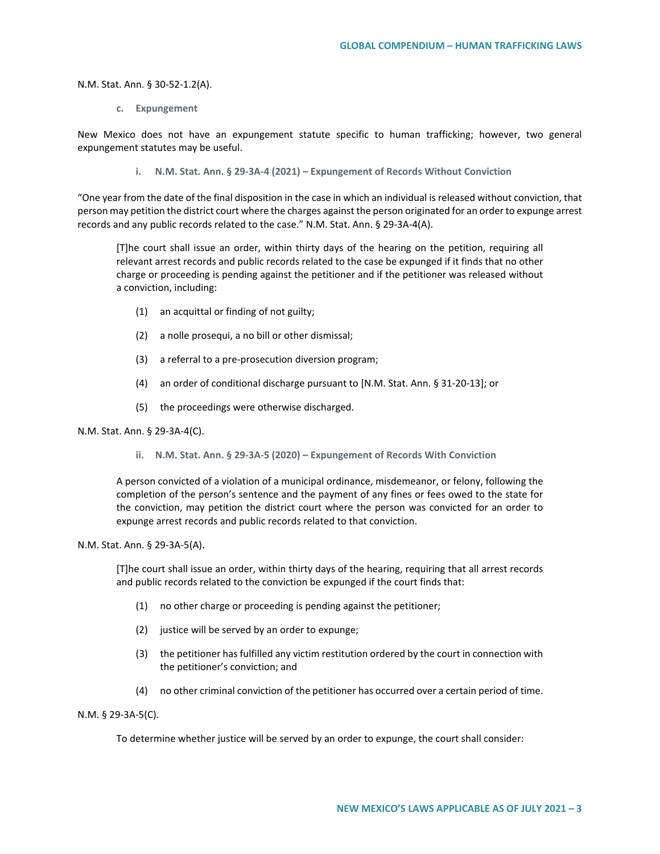N.M. Stat. Ann. § 30-52-1.2(A).

**c. Expungement**

New Mexico does not have an expungement statute specific to human trafficking; however, two general expungement statutes may be useful.

**i. N.M. Stat. Ann. § 29-3A-4 (2021) – Expungement of Records Without Conviction**

"One year from the date of the final disposition in the case in which an individual is released without conviction, that person may petition the district court where the charges against the person originated for an order to expunge arrest records and any public records related to the case." N.M. Stat. Ann. § 29-3A-4(A).

[T]he court shall issue an order, within thirty days of the hearing on the petition, requiring all relevant arrest records and public records related to the case be expunged if it finds that no other charge or proceeding is pending against the petitioner and if the petitioner was released without a conviction, including:

- (1) an acquittal or finding of not guilty;
- (2) a nolle prosequi, a no bill or other dismissal;
- (3) a referral to a pre-prosecution diversion program;
- (4) an order of conditional discharge pursuant to [N.M. Stat. Ann. § 31-20-13]; or
- (5) the proceedings were otherwise discharged.

### N.M. Stat. Ann. § 29-3A-4(C).

**ii. N.M. Stat. Ann. § 29-3A-5 (2020) – Expungement of Records With Conviction**

A person convicted of a violation of a municipal ordinance, misdemeanor, or felony, following the completion of the person's sentence and the payment of any fines or fees owed to the state for the conviction, may petition the district court where the person was convicted for an order to expunge arrest records and public records related to that conviction.

### N.M. Stat. Ann. § 29-3A-5(A).

[T]he court shall issue an order, within thirty days of the hearing, requiring that all arrest records and public records related to the conviction be expunged if the court finds that:

- (1) no other charge or proceeding is pending against the petitioner;
- (2) justice will be served by an order to expunge;
- (3) the petitioner has fulfilled any victim restitution ordered by the court in connection with the petitioner's conviction; and
- (4) no other criminal conviction of the petitioner has occurred over a certain period of time.

N.M. § 29-3A-5(C).

To determine whether justice will be served by an order to expunge, the court shall consider: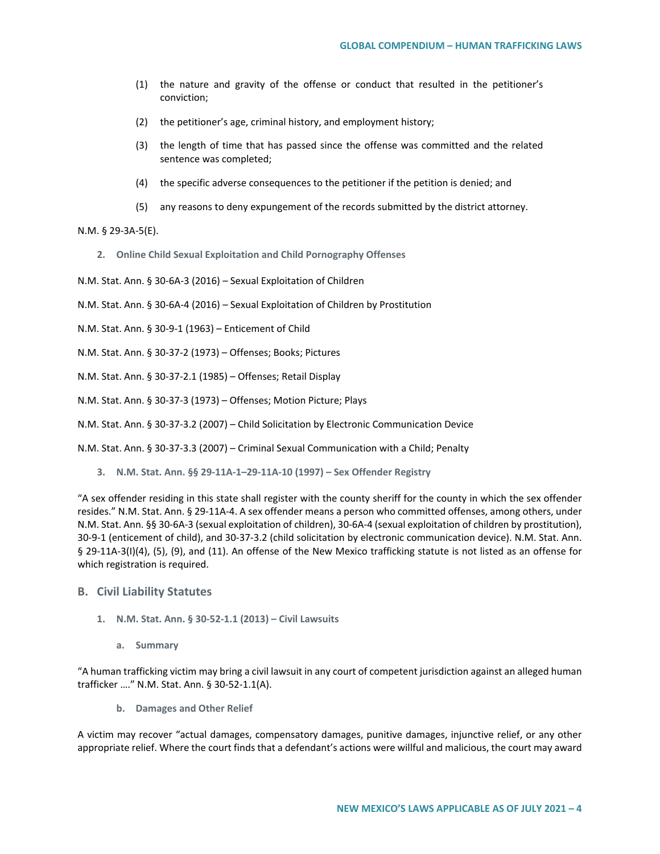- (1) the nature and gravity of the offense or conduct that resulted in the petitioner's conviction;
- (2) the petitioner's age, criminal history, and employment history;
- (3) the length of time that has passed since the offense was committed and the related sentence was completed;
- (4) the specific adverse consequences to the petitioner if the petition is denied; and
- (5) any reasons to deny expungement of the records submitted by the district attorney.

N.M. § 29-3A-5(E).

**2. Online Child Sexual Exploitation and Child Pornography Offenses**

N.M. Stat. Ann. § 30-6A-3 (2016) – Sexual Exploitation of Children

N.M. Stat. Ann. § 30-6A-4 (2016) – Sexual Exploitation of Children by Prostitution

N.M. Stat. Ann. § 30-9-1 (1963) – Enticement of Child

N.M. Stat. Ann. § 30-37-2 (1973) – Offenses; Books; Pictures

N.M. Stat. Ann. § 30-37-2.1 (1985) – Offenses; Retail Display

N.M. Stat. Ann. § 30-37-3 (1973) – Offenses; Motion Picture; Plays

N.M. Stat. Ann. § 30-37-3.2 (2007) – Child Solicitation by Electronic Communication Device

N.M. Stat. Ann. § 30-37-3.3 (2007) – Criminal Sexual Communication with a Child; Penalty

**3. N.M. Stat. Ann. §§ 29-11A-1–29-11A-10 (1997) – Sex Offender Registry**

"A sex offender residing in this state shall register with the county sheriff for the county in which the sex offender resides." N.M. Stat. Ann. § 29-11A-4. A sex offender means a person who committed offenses, among others, under N.M. Stat. Ann. §§ 30-6A-3 (sexual exploitation of children), 30-6A-4 (sexual exploitation of children by prostitution), 30-9-1 (enticement of child), and 30-37-3.2 (child solicitation by electronic communication device). N.M. Stat. Ann. § 29-11A-3(I)(4), (5), (9), and (11). An offense of the New Mexico trafficking statute is not listed as an offense for which registration is required.

## **B. Civil Liability Statutes**

- **1. N.M. Stat. Ann. § 30-52-1.1 (2013) – Civil Lawsuits**
	- **a. Summary**

"A human trafficking victim may bring a civil lawsuit in any court of competent jurisdiction against an alleged human trafficker …." N.M. Stat. Ann. § 30-52-1.1(A).

**b. Damages and Other Relief**

A victim may recover "actual damages, compensatory damages, punitive damages, injunctive relief, or any other appropriate relief. Where the court finds that a defendant's actions were willful and malicious, the court may award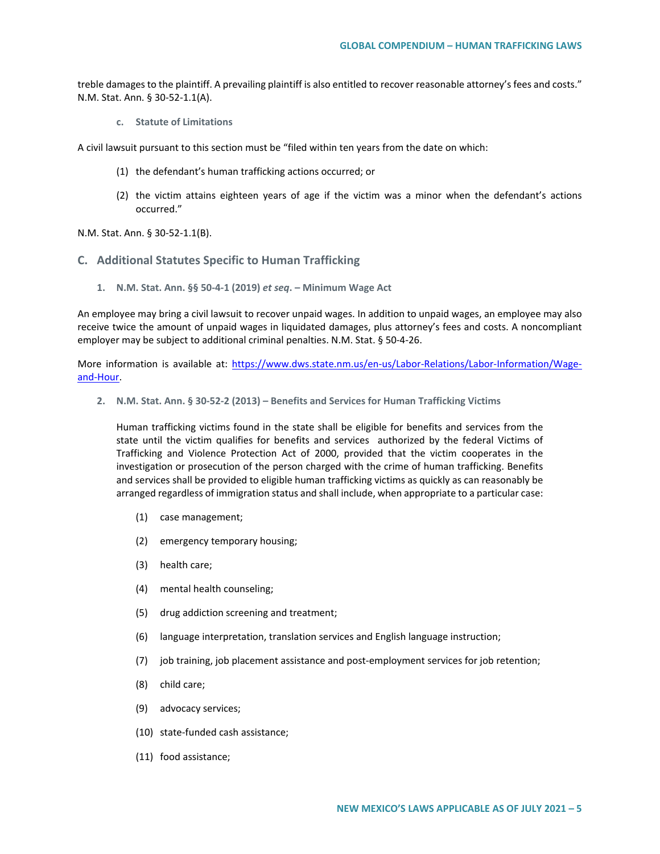treble damages to the plaintiff. A prevailing plaintiff is also entitled to recover reasonable attorney's fees and costs." N.M. Stat. Ann. § 30-52-1.1(A).

**c. Statute of Limitations**

A civil lawsuit pursuant to this section must be "filed within ten years from the date on which:

- (1) the defendant's human trafficking actions occurred; or
- (2) the victim attains eighteen years of age if the victim was a minor when the defendant's actions occurred."

N.M. Stat. Ann. § 30-52-1.1(B).

- **C. Additional Statutes Specific to Human Trafficking**
	- **1. N.M. Stat. Ann. §§ 50-4-1 (2019)** *et seq***. Minimum Wage Act**

An employee may bring a civil lawsuit to recover unpaid wages. In addition to unpaid wages, an employee may also receive twice the amount of unpaid wages in liquidated damages, plus attorney's fees and costs. A noncompliant employer may be subject to additional criminal penalties. N.M. Stat. § 50-4-26.

More information is available at: [https://www.dws.state.nm.us/en-us/Labor-Relations/Labor-Information/Wage](https://www.dws.state.nm.us/en-us/Labor-Relations/Labor-Information/Wage-and-Hour)[and-Hour.](https://www.dws.state.nm.us/en-us/Labor-Relations/Labor-Information/Wage-and-Hour)

**2. N.M. Stat. Ann. § 30-52-2 (2013) – Benefits and Services for Human Trafficking Victims**

Human trafficking victims found in the state shall be eligible for benefits and services from the state until the victim qualifies for benefits and services authorized by the federal Victims of Trafficking and Violence Protection Act of 2000, provided that the victim cooperates in the investigation or prosecution of the person charged with the crime of human trafficking. Benefits and services shall be provided to eligible human trafficking victims as quickly as can reasonably be arranged regardless of immigration status and shall include, when appropriate to a particular case:

- (1) case management;
- (2) emergency temporary housing;
- (3) health care;
- (4) mental health counseling;
- (5) drug addiction screening and treatment;
- (6) language interpretation, translation services and English language instruction;
- (7) job training, job placement assistance and post-employment services for job retention;
- (8) child care;
- (9) advocacy services;
- (10) state-funded cash assistance;
- (11) food assistance;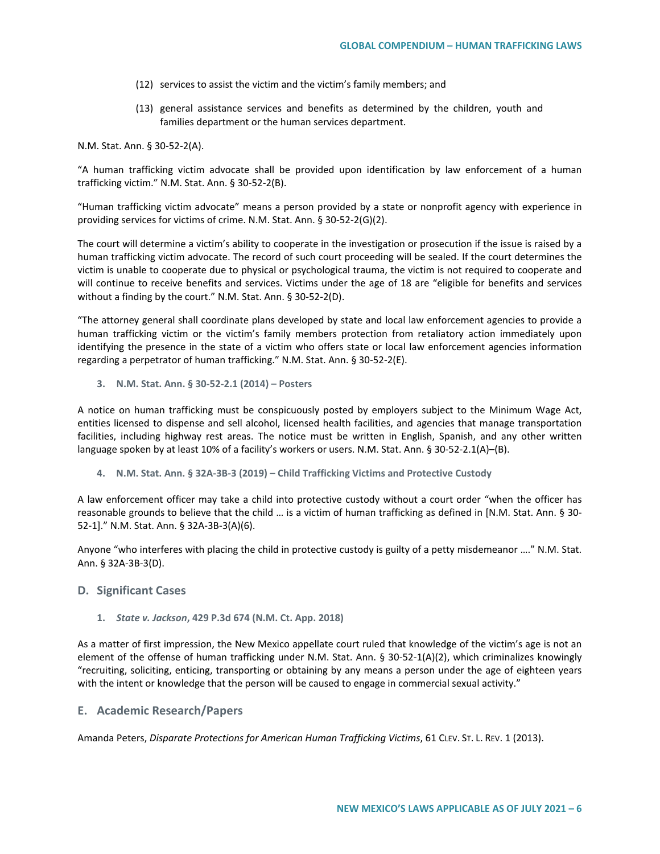- (12) services to assist the victim and the victim's family members; and
- (13) general assistance services and benefits as determined by the children, youth and families department or the human services department.

N.M. Stat. Ann. § 30-52-2(A).

"A human trafficking victim advocate shall be provided upon identification by law enforcement of a human trafficking victim." N.M. Stat. Ann. § 30-52-2(B).

"Human trafficking victim advocate" means a person provided by a state or nonprofit agency with experience in providing services for victims of crime. N.M. Stat. Ann. § 30-52-2(G)(2).

The court will determine a victim's ability to cooperate in the investigation or prosecution if the issue is raised by a human trafficking victim advocate. The record of such court proceeding will be sealed. If the court determines the victim is unable to cooperate due to physical or psychological trauma, the victim is not required to cooperate and will continue to receive benefits and services. Victims under the age of 18 are "eligible for benefits and services without a finding by the court." N.M. Stat. Ann. § 30-52-2(D).

"The attorney general shall coordinate plans developed by state and local law enforcement agencies to provide a human trafficking victim or the victim's family members protection from retaliatory action immediately upon identifying the presence in the state of a victim who offers state or local law enforcement agencies information regarding a perpetrator of human trafficking." N.M. Stat. Ann. § 30-52-2(E).

**3. N.M. Stat. Ann. § 30-52-2.1 (2014) – Posters**

A notice on human trafficking must be conspicuously posted by employers subject to the Minimum Wage Act, entities licensed to dispense and sell alcohol, licensed health facilities, and agencies that manage transportation facilities, including highway rest areas. The notice must be written in English, Spanish, and any other written language spoken by at least 10% of a facility's workers or users. N.M. Stat. Ann. § 30-52-2.1(A)–(B).

**4. N.M. Stat. Ann. § 32A-3B-3 (2019) – Child Trafficking Victims and Protective Custody**

A law enforcement officer may take a child into protective custody without a court order "when the officer has reasonable grounds to believe that the child … is a victim of human trafficking as defined in [N.M. Stat. Ann. § 30- 52-1]." N.M. Stat. Ann. § 32A-3B-3(A)(6).

Anyone "who interferes with placing the child in protective custody is guilty of a petty misdemeanor …." N.M. Stat. Ann. § 32A-3B-3(D).

## **D. Significant Cases**

### **1.** *State v. Jackson***, 429 P.3d 674 (N.M. Ct. App. 2018)**

As a matter of first impression, the New Mexico appellate court ruled that knowledge of the victim's age is not an element of the offense of human trafficking under N.M. Stat. Ann. § 30-52-1(A)(2), which criminalizes knowingly "recruiting, soliciting, enticing, transporting or obtaining by any means a person under the age of eighteen years with the intent or knowledge that the person will be caused to engage in commercial sexual activity."

## **E. Academic Research/Papers**

Amanda Peters, *Disparate Protections for American Human Trafficking Victims*, 61 CLEV. ST. L. REV. 1 (2013).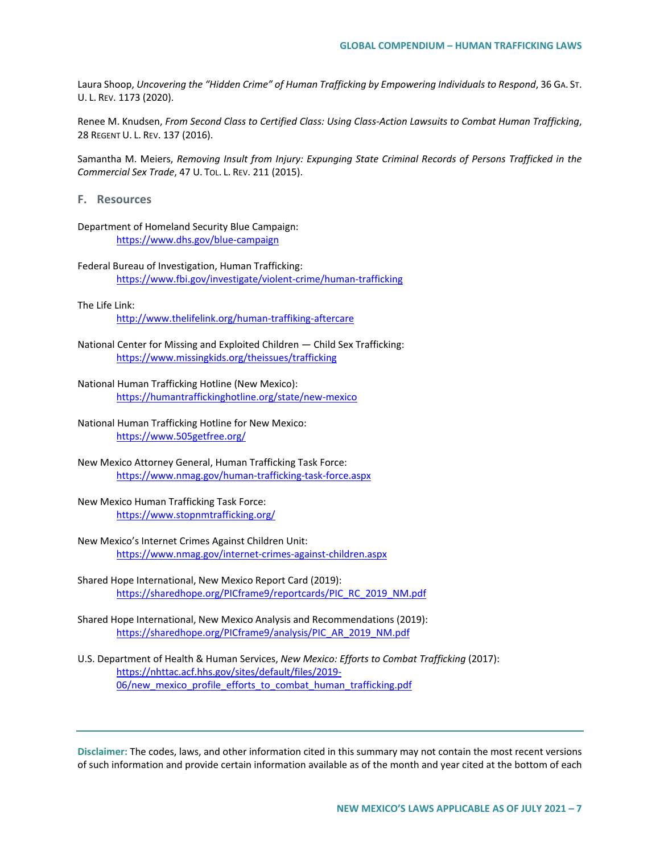Laura Shoop, *Uncovering the "Hidden Crime" of Human Trafficking by Empowering Individuals to Respond*, 36 GA. ST. U. L. REV. 1173 (2020).

Renee M. Knudsen, *From Second Class to Certified Class: Using Class-Action Lawsuits to Combat Human Trafficking*, 28 REGENT U. L. REV. 137 (2016).

Samantha M. Meiers, *Removing Insult from Injury: Expunging State Criminal Records of Persons Trafficked in the Commercial Sex Trade*, 47 U. TOL. L. REV. 211 (2015).

**F. Resources**

Department of Homeland Security Blue Campaign: <https://www.dhs.gov/blue-campaign>

Federal Bureau of Investigation, Human Trafficking: <https://www.fbi.gov/investigate/violent-crime/human-trafficking>

## The Life Link:

<http://www.thelifelink.org/human-traffiking-aftercare>

- National Center for Missing and Exploited Children Child Sex Trafficking: <https://www.missingkids.org/theissues/trafficking>
- National Human Trafficking Hotline (New Mexico): <https://humantraffickinghotline.org/state/new-mexico>
- National Human Trafficking Hotline for New Mexico: <https://www.505getfree.org/>
- New Mexico Attorney General, Human Trafficking Task Force: <https://www.nmag.gov/human-trafficking-task-force.aspx>
- New Mexico Human Trafficking Task Force: <https://www.stopnmtrafficking.org/>
- New Mexico's Internet Crimes Against Children Unit: <https://www.nmag.gov/internet-crimes-against-children.aspx>
- Shared Hope International, New Mexico Report Card (2019): [https://sharedhope.org/PICframe9/reportcards/PIC\\_RC\\_2019\\_NM.pdf](https://sharedhope.org/PICframe9/reportcards/PIC_RC_2019_NM.pdf)
- Shared Hope International, New Mexico Analysis and Recommendations (2019): [https://sharedhope.org/PICframe9/analysis/PIC\\_AR\\_2019\\_NM.pdf](https://sharedhope.org/PICframe9/analysis/PIC_AR_2019_NM.pdf)
- U.S. Department of Health & Human Services, *New Mexico: Efforts to Combat Trafficking* (2017): [https://nhttac.acf.hhs.gov/sites/default/files/2019-](https://nhttac.acf.hhs.gov/sites/default/files/2019-06/new_mexico_profile_efforts_to_combat_human_trafficking.pdf) 06/new mexico profile efforts to combat human trafficking.pdf

**Disclaimer:** The codes, laws, and other information cited in this summary may not contain the most recent versions of such information and provide certain information available as of the month and year cited at the bottom of each